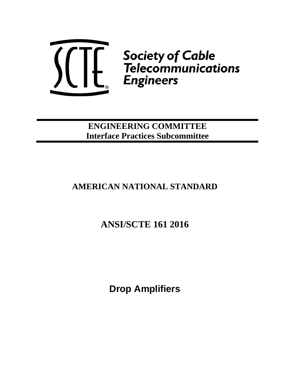

**ENGINEERING COMMITTEE Interface Practices Subcommittee**

# **AMERICAN NATIONAL STANDARD**

# **ANSI/SCTE 161 2016**

**Drop Amplifiers**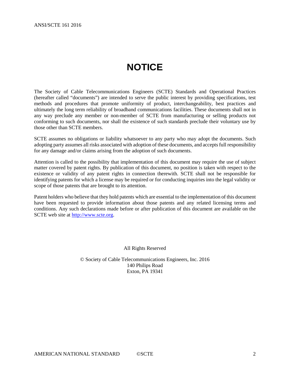# **NOTICE**

<span id="page-1-0"></span>The Society of Cable Telecommunications Engineers (SCTE) Standards and Operational Practices (hereafter called "documents") are intended to serve the public interest by providing specifications, test methods and procedures that promote uniformity of product, interchangeability, best practices and ultimately the long term reliability of broadband communications facilities. These documents shall not in any way preclude any member or non-member of SCTE from manufacturing or selling products not conforming to such documents, nor shall the existence of such standards preclude their voluntary use by those other than SCTE members.

SCTE assumes no obligations or liability whatsoever to any party who may adopt the documents. Such adopting party assumes all risks associated with adoption of these documents, and accepts full responsibility for any damage and/or claims arising from the adoption of such documents.

Attention is called to the possibility that implementation of this document may require the use of subject matter covered by patent rights. By publication of this document, no position is taken with respect to the existence or validity of any patent rights in connection therewith. SCTE shall not be responsible for identifying patents for which a license may be required or for conducting inquiries into the legal validity or scope of those patents that are brought to its attention.

Patent holders who believe that they hold patents which are essential to the implementation of this document have been requested to provide information about those patents and any related licensing terms and conditions. Any such declarations made before or after publication of this document are available on the SCTE web site at [http://www.scte.org.](http://www.scte.org/)

All Rights Reserved

© Society of Cable Telecommunications Engineers, Inc. 2016 140 Philips Road Exton, PA 19341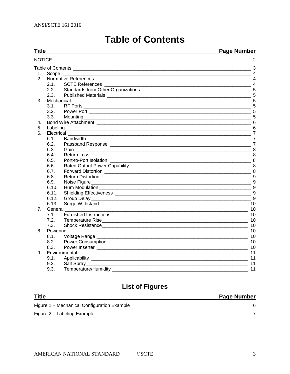#### <span id="page-2-0"></span>**Title Page Number NOTICE**  $\overline{\phantom{a}}$  $-3$ 2. Normative References 4 SUIL References<br>Standards from Other Organizations<br>Dublished Materials  $2.1.$ **SCTE References**  $2.2$  $2.3$  $3.1$  $32<sup>2</sup>$  $3.3.$ Mounting 5 5. Labeling 6 6. Electrical  $6.1.$ 62  $6.3.$  $6.4.$ 6.5  $6.6.$  $6.7.$ 6.8 Return Distortion 2008 and 2009 and 2009 and 2009 and 2009 and 2009 and 2009 and 2009 and 2009 and 2009 and 20  $6.9.$  $6.10.$  $6.11.$ Shielding Effectiveness and the state of the state of the state of the state of the state of the state of the state of the state of the state of the state of the state of the state of the state of the state of the state of  $6.12.$  $6.13.$ 7 General  $7.1.$  $7.2.$ Shock Resistance 10  $7.3.$ 8. Powering  $8.1$ Power Consumption 2000 10  $8.2.$  $8.3.$  $9.1.$  $9.2.$  $9.3.$ Temperature/Humidity **Example 2018**  $\sim$  11

# **List of Figures**

| <b>Title</b>                                | <b>Page Number</b> |
|---------------------------------------------|--------------------|
| Figure 1 – Mechanical Configuration Example |                    |
| Figure 2 – Labeling Example                 |                    |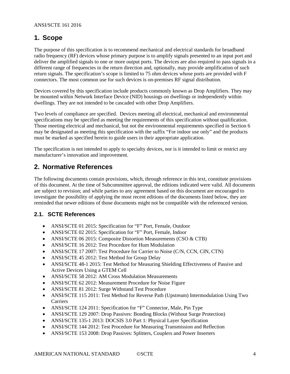# <span id="page-3-0"></span>**1. Scope**

The purpose of this specification is to recommend mechanical and electrical standards for broadband radio frequency (RF) devices whose primary purpose is to amplify signals presented to an input port and deliver the amplified signals to one or more output ports. The devices are also required to pass signals in a different range of frequencies in the return direction and, optionally, may provide amplification of such return signals. The specification's scope is limited to 75 ohm devices whose ports are provided with F connectors. The most common use for such devices is on-premises RF signal distribution.

Devices covered by this specification include products commonly known as Drop Amplifiers. They may be mounted within Network Interface Device (NID) housings on dwellings or independently within dwellings. They are not intended to be cascaded with other Drop Amplifiers.

Two levels of compliance are specified. Devices meeting all electrical, mechanical and environmental specifications may be specified as meeting the requirements of this specification without qualification. Those meeting electrical and mechanical, but not the environmental requirements specified in Section 6 may be designated as meeting this specification with the suffix "For indoor use only" and the products must be marked as specified herein to guide users in their appropriate application.

The specification is not intended to apply to specialty devices, nor is it intended to limit or restrict any manufacturer's innovation and improvement.

# <span id="page-3-1"></span>**2. Normative References**

The following documents contain provisions, which, through reference in this text, constitute provisions of this document. At the time of Subcommittee approval, the editions indicated were valid. All documents are subject to revision; and while parties to any agreement based on this document are encouraged to investigate the possibility of applying the most recent editions of the documents listed below, they are reminded that newer editions of those documents might not be compatible with the referenced version.

### <span id="page-3-2"></span>**2.1. SCTE References**

- ANSI/SCTE 01 2015: Specification for "F" Port, Female, Outdoor
- ANSI/SCTE 02 2015: Specification for "F" Port, Female, Indoor
- ANSI/SCTE 06 2015: Composite Distortion Measurements (CSO & CTB)
- ANSI/SCTE 16 2012: Test Procedure for Hum Modulation
- ANSI/SCTE 17 2007: Test Procedure for Carrier to Noise (C/N, CCN, CIN, CTN)
- ANSI/SCTE 45 2012: Test Method for Group Delay
- ANSI/SCTE 48-1 2015: Test Method for Measuring Shielding Effectiveness of Passive and Active Devices Using a GTEM Cell
- ANSI/SCTE 58 2012: AM Cross Modulation Measurements
- ANSI/SCTE 62 2012: Measurement Procedure for Noise Figure
- ANSI/SCTE 81 2012: Surge Withstand Test Procedure
- ANSI/SCTE 115 2011: Test Method for Reverse Path (Upstream) Intermodulation Using Two Carriers
- ANSI/SCTE 124 2011: Specification for "F" Connector, Male, Pin Type
- ANSI/SCTE 129 2007: Drop Passives: Bonding Blocks (Without Surge Protection)
- ANSI/SCTE 135-1 2013: DOCSIS 3.0 Part 1: Physical Layer Specification
- ANSI/SCTE 144 2012: Test Procedure for Measuring Transmission and Reflection
- ANSI/SCTE 153 2008: Drop Passives: Splitters, Couplers and Power Inserters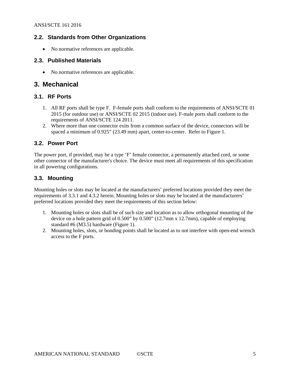### <span id="page-4-0"></span>**2.2. Standards from Other Organizations**

• No normative references are applicable.

#### <span id="page-4-1"></span>**2.3. Published Materials**

• No normative references are applicable.

### <span id="page-4-2"></span>**3. Mechanical**

#### <span id="page-4-3"></span>**3.1. RF Ports**

- 1. All RF ports shall be type F. F-female ports shall conform to the requirements of ANSI/SCTE 01 2015 (for outdoor use) or ANSI/SCTE 02 2015 (indoor use). F-male ports shall conform to the requirements of ANSI/SCTE 124 2011.
- 2. Where more than one connector exits from a common surface of the device, connectors will be spaced a minimum of 0.925" (23.49 mm) apart, center-to-center. Refer to Figure 1.

#### <span id="page-4-4"></span>**3.2. Power Port**

The power port, if provided, may be a type 'F' female connector, a permanently attached cord, or some other connector of the manufacturer's choice. The device must meet all requirements of this specification in all powering configurations.

#### <span id="page-4-5"></span>**3.3. Mounting**

Mounting holes or slots may be located at the manufacturers' preferred locations provided they meet the requirements of 3.3.1 and 4.3.2 herein. Mounting holes or slots may be located at the manufacturers' preferred locations provided they meet the requirements of this section below:

- 1. Mounting holes or slots shall be of such size and location as to allow orthogonal mounting of the device on a hole pattern grid of 0.500" by 0.500" (12.7mm x 12.7mm), capable of employing standard #6 (M3.5) hardware (Figure 1).
- 2. Mounting holes, slots, or bonding points shall be located as to not interfere with open-end wrench access to the F ports.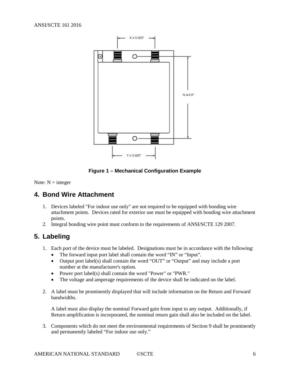

**Figure 1 – Mechanical Configuration Example**

<span id="page-5-0"></span>Note:  $N =$  integer

# **4. Bond Wire Attachment**

- 1. Devices labeled "For indoor use only" are not required to be equipped with bonding wire attachment points. Devices rated for exterior use must be equipped with bonding wire attachment points.
- 2. Integral bonding wire point must conform to the requirements of ANSI/SCTE 129 2007.

# <span id="page-5-1"></span>**5. Labeling**

- 1. Each port of the device must be labeled. Designations must be in accordance with the following:
	- The forward input port label shall contain the word "IN" or "Input".
	- Output port label(s) shall contain the word "OUT" or "Output" and may include a port number at the manufacturer's option.
	- Power port label(s) shall contain the word "Power" or "PWR."
	- The voltage and amperage requirements of the device shall be indicated on the label.
- 2. A label must be prominently displayed that will include information on the Return and Forward bandwidths.

A label must also display the nominal Forward gain from input to any output. Additionally, if Return amplification is incorporated, the nominal return gain shall also be included on the label.

3. Components which do not meet the environmental requirements of Section 9 shall be prominently and permanently labeled "For indoor use only."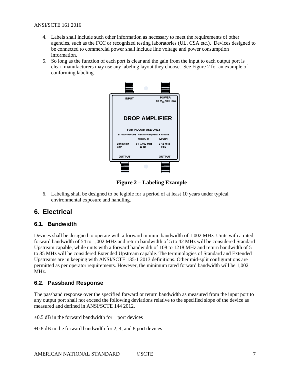- 4. Labels shall include such other information as necessary to meet the requirements of other agencies, such as the FCC or recognized testing laboratories (UL, CSA etc.). Devices designed to be connected to commercial power shall include line voltage and power consumption information.
- 5. So long as the function of each port is clear and the gain from the input to each output port is clear, manufacturers may use any labeling layout they choose. See Figure 2 for an example of conforming labeling.



**Figure 2 – Labeling Example**

6. Labeling shall be designed to be legible for a period of at least 10 years under typical environmental exposure and handling.

# <span id="page-6-0"></span>**6. Electrical**

#### <span id="page-6-1"></span>**6.1. Bandwidth**

Devices shall be designed to operate with a forward minium bandwidth of 1,002 MHz. Units with a rated forward bandwidth of 54 to 1,002 MHz and return bandwidth of 5 to 42 MHz will be considered Standard Upstream capable, while units with a forward bandwidth of 108 to 1218 MHz and return bandwidth of 5 to 85 MHz will be considered Extended Upstream capable. The terminologies of Standard and Extended Upstreams are in keeping with ANSI/SCTE 135-1 2013 definitions. Other mid-split configurations are permitted as per operator requirements. However, the minimum rated forward bandwidth will be 1,002 MHz.

### <span id="page-6-2"></span>**6.2. Passband Response**

The passband response over the specified forward or return bandwidth as measured from the input port to any output port shall not exceed the following deviations relative to the specified slope of the device as measured and defined in ANSI/SCTE 144 2012.

 $\pm 0.5$  dB in the forward bandwidth for 1 port devices

 $\pm 0.8$  dB in the forward bandwidth for 2, 4, and 8 port devices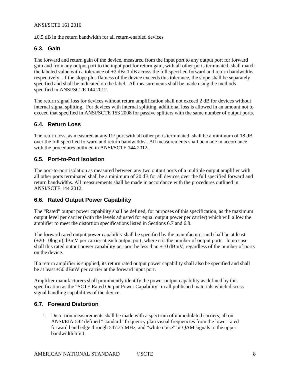#### ANSI/SCTE 161 2016

 $\pm 0.5$  dB in the return bandwidth for all return-enabled devices

#### <span id="page-7-0"></span>**6.3. Gain**

The forward and return gain of the device, measured from the input port to any output port for forward gain and from any output port to the input port for return gain, with all other ports terminated, shall match the labeled value with a tolerance of +2 dB/-1 dB across the full specified forward and return bandwidths respectively. If the slope plus flatness of the device exceeds this tolerance, the slope shall be separately specified and shall be indicated on the label. All measurements shall be made using the methods specified in ANSI/SCTE 144 2012.

The return signal loss for devices without return amplification shall not exceed 2 dB for devices without internal signal splitting. For devices with internal splitting, additional loss is allowed in an amount not to exceed that specified in ANSI/SCTE 153 2008 for passive splitters with the same number of output ports.

#### <span id="page-7-1"></span>**6.4. Return Loss**

The return loss, as measured at any RF port with all other ports terminated, shall be a minimum of 18 dB over the full specified forward and return bandwidths. All measurements shall be made in accordance with the procedures outlined in ANSI/SCTE 144 2012.

#### <span id="page-7-2"></span>**6.5. Port-to-Port Isolation**

The port-to-port isolation as measured between any two output ports of a multiple output amplifier with all other ports terminated shall be a minimum of 20 dB for all devices over the full specified forward and return bandwidths. All measurements shall be made in accordance with the procedures outlined in ANSI/SCTE 144 2012.

### <span id="page-7-3"></span>**6.6. Rated Output Power Capability**

The "Rated" output power capability shall be defined, for purposes of this specification, as the maximum output level per carrier (with the levels adjusted for equal output power per carrier) which will allow the amplifier to meet the distortion specifications listed in Sections 6.7 and 6.8.

The forward rated output power capability shall be specified by the manufacturer and shall be at least (+20-10log n) dBmV per carrier at each output port, where n is the number of output ports. In no case shall this rated output power capability per port be less than +10 dBmV, regardless of the number of ports on the device.

If a return amplifier is supplied, its return rated output power capability shall also be specified and shall be at least +50 dBmV per carrier at the forward input port.

Amplifier manufacturers shall prominently identify the power output capability as defined by this specification as the "SCTE Rated Output Power Capability" in all published materials which discuss signal handling capabilities of the device.

#### <span id="page-7-4"></span>**6.7. Forward Distortion**

1. Distortion measurements shall be made with a spectrum of unmodulated carriers, all on ANSI/EIA-542 defined "standard" frequency plan visual frequencies from the lower rated forward band edge through 547.25 MHz, and "white noise" or QAM signals to the upper bandwidth limit.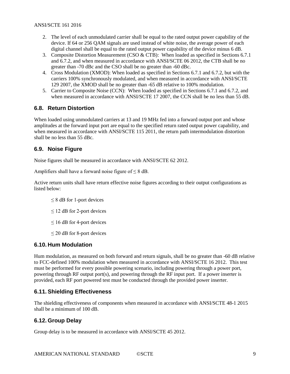- 2. The level of each unmodulated carrier shall be equal to the rated output power capability of the device. If 64 or 256 QAM signals are used instead of white noise, the average power of each digital channel shall be equal to the rated output power capability of the device minus 6 dB.
- 3. Composite Distortion Measurement (CSO & CTB): When loaded as specified in Sections 6.7.1 and 6.7.2, and when measured in accordance with ANSI/SCTE 06 2012, the CTB shall be no greater than -70 dBc and the CSO shall be no greater than -60 dBc.
- 4. Cross Modulation (XMOD): When loaded as specified in Sections 6.7.1 and 6.7.2, but with the carriers 100% synchronously modulated, and when measured in accordance with ANSI/SCTE 129 2007, the XMOD shall be no greater than -65 dB relative to 100% modulation.
- 5. Carrier to Composite Noise (CCN): When loaded as specified in Sections 6.7.1 and 6.7.2, and when measured in accordance with ANSI/SCTE 17 2007, the CCN shall be no less than 55 dB.

#### <span id="page-8-0"></span>**6.8. Return Distortion**

When loaded using unmodulated carriers at 13 and 19 MHz fed into a forward output port and whose amplitudes at the forward input port are equal to the specified return rated output power capability, and when measured in accordance with ANSI/SCTE 115 2011, the return path intermodulation distortion shall be no less than 55 dBc.

### <span id="page-8-1"></span>**6.9. Noise Figure**

Noise figures shall be measured in accordance with ANSI/SCTE 62 2012.

Amplifiers shall have a forward noise figure of  $\leq 8$  dB.

Active return units shall have return effective noise figures according to their output configurations as listed below:

- $\leq$  8 dB for 1-port devices
- $\leq$  12 dB for 2-port devices
- $\leq$  16 dB for 4-port devices
- $\leq$  20 dB for 8-port devices

#### <span id="page-8-2"></span>**6.10. Hum Modulation**

Hum modulation, as measured on both forward and return signals, shall be no greater than -60 dB relative to FCC-defined 100% modulation when measured in accordance with ANSI/SCTE 16 2012. This test must be performed for every possible powering scenario, including powering through a power port, powering through RF output port(s), and powering through the RF input port. If a power inserter is provided, each RF port powered test must be conducted through the provided power inserter.

#### <span id="page-8-3"></span>**6.11. Shielding Effectiveness**

The shielding effectiveness of components when measured in accordance with ANSI/SCTE 48-1 2015 shall be a minimum of 100 dB.

#### <span id="page-8-4"></span>**6.12. Group Delay**

Group delay is to be measured in accordance with ANSI/SCTE 45 2012.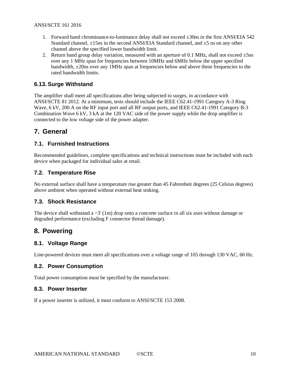- 1. Forward band chrominance-to-luminance delay shall not exceed  $\pm 30$ ns in the first ANSI/EIA 542 Standard channel,  $\pm 15$ ns in the second ANSI/EIA Standard channel, and  $\pm 5$  ns on any other channel above the specified lower bandwidth limit.
- 2. Return band group delay variation, measured with an aperture of 0.1 MHz, shall not exceed  $\pm$ 5ns over any 1 MHz span for frequencies between 10MHz and 6MHz below the upper specified bandwidth,  $\pm$ 20ns over any 1MHz span at frequencies below and above these frequencies to the rated bandwidth limits.

#### <span id="page-9-0"></span>**6.13. Surge Withstand**

The amplifier shall meet all specifications after being subjected to surges, in accordance with ANSI/SCTE 81 2012. At a minimum, tests should include the IEEE C62.41-1991 Category A-3 Ring Wave, 6 kV, 200 A on the RF input port and all RF output ports, and IEEE C62.41-1991 Category B-3 Combination Wave 6 kV, 3 kA at the 120 VAC side of the power supply while the drop amplifier is connected to the low voltage side of the power adapter.

# <span id="page-9-1"></span>**7. General**

#### <span id="page-9-2"></span>**7.1. Furnished Instructions**

Recommended guidelines, complete specifications and technical instructions must be included with each device when packaged for individual sales at retail.

#### <span id="page-9-3"></span>**7.2. Temperature Rise**

No external surface shall have a temperature rise greater than 45 Fahrenheit degrees (25 Celsius degrees) above ambient when operated without external heat sinking.

#### <span id="page-9-4"></span>**7.3. Shock Resistance**

The device shall withstand a  $\sim$ 3' (1m) drop onto a concrete surface in all six axes without damage or degraded performance (excluding F connector thread damage).

# <span id="page-9-5"></span>**8. Powering**

#### <span id="page-9-6"></span>**8.1. Voltage Range**

<span id="page-9-7"></span>Line-powered devices must meet all specifications over a voltage range of 105 through 130 VAC, 60 Hz.

#### **8.2. Power Consumption**

<span id="page-9-8"></span>Total power consumption must be specified by the manufacturer.

#### **8.3. Power Inserter**

If a power inserter is utilized, it must conform to ANSI/SCTE 153 2008.